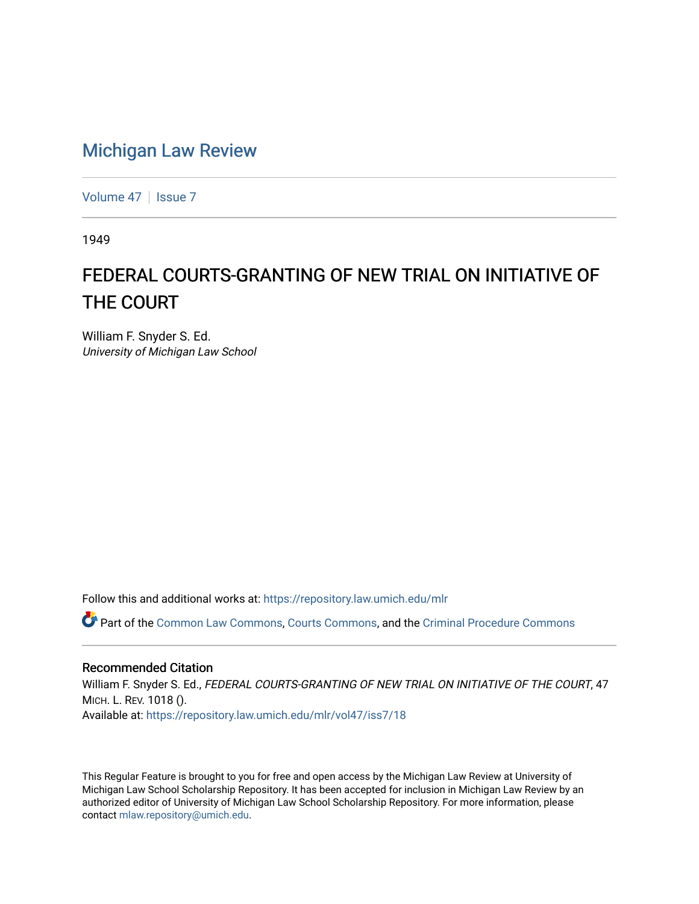## [Michigan Law Review](https://repository.law.umich.edu/mlr)

[Volume 47](https://repository.law.umich.edu/mlr/vol47) | [Issue 7](https://repository.law.umich.edu/mlr/vol47/iss7)

1949

## FEDERAL COURTS-GRANTING OF NEW TRIAL ON INITIATIVE OF THE COURT

William F. Snyder S. Ed. University of Michigan Law School

Follow this and additional works at: [https://repository.law.umich.edu/mlr](https://repository.law.umich.edu/mlr?utm_source=repository.law.umich.edu%2Fmlr%2Fvol47%2Fiss7%2F18&utm_medium=PDF&utm_campaign=PDFCoverPages) 

Part of the [Common Law Commons,](http://network.bepress.com/hgg/discipline/1120?utm_source=repository.law.umich.edu%2Fmlr%2Fvol47%2Fiss7%2F18&utm_medium=PDF&utm_campaign=PDFCoverPages) [Courts Commons](http://network.bepress.com/hgg/discipline/839?utm_source=repository.law.umich.edu%2Fmlr%2Fvol47%2Fiss7%2F18&utm_medium=PDF&utm_campaign=PDFCoverPages), and the [Criminal Procedure Commons](http://network.bepress.com/hgg/discipline/1073?utm_source=repository.law.umich.edu%2Fmlr%2Fvol47%2Fiss7%2F18&utm_medium=PDF&utm_campaign=PDFCoverPages) 

## Recommended Citation

William F. Snyder S. Ed., FEDERAL COURTS-GRANTING OF NEW TRIAL ON INITIATIVE OF THE COURT, 47 MICH. L. REV. 1018 (). Available at: [https://repository.law.umich.edu/mlr/vol47/iss7/18](https://repository.law.umich.edu/mlr/vol47/iss7/18?utm_source=repository.law.umich.edu%2Fmlr%2Fvol47%2Fiss7%2F18&utm_medium=PDF&utm_campaign=PDFCoverPages) 

This Regular Feature is brought to you for free and open access by the Michigan Law Review at University of Michigan Law School Scholarship Repository. It has been accepted for inclusion in Michigan Law Review by an authorized editor of University of Michigan Law School Scholarship Repository. For more information, please contact [mlaw.repository@umich.edu](mailto:mlaw.repository@umich.edu).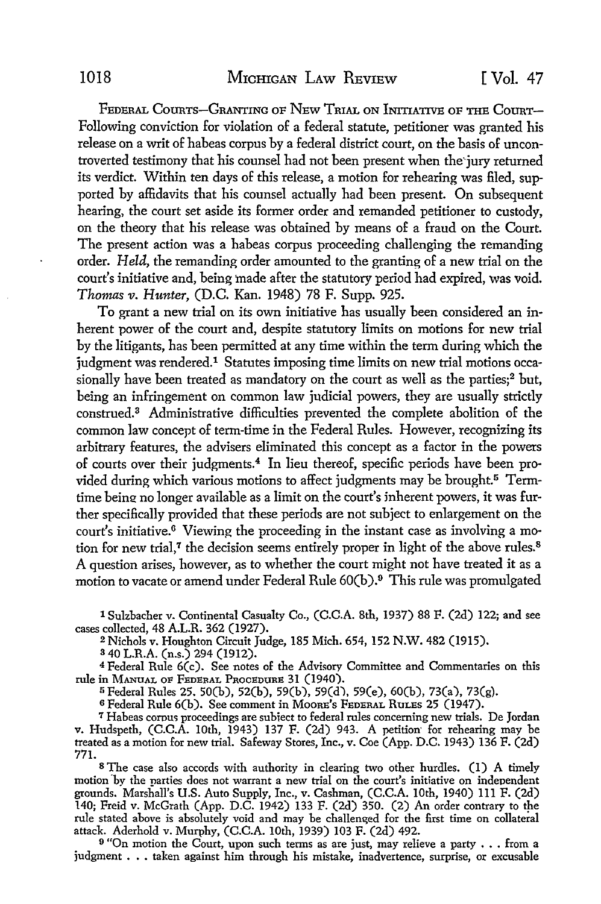FEDERAL COURTS-GRANTING OF NEW TRIAL ON INITIATIVE OF THE COURT-Following conviction for violation of a federal statute, petitioner was granted his release on a writ of habeas corpus by a federal district court, on the basis of uncontroverted testimony that his counsel had not been present when the·jury returned its verdict. Within ten days of this release, a motion for rehearing was filed, supported by affidavits that his counsel actually had been present. On subsequent hearing, the court set aside its former order and remanded petitioner to custody, on the theory that his release was obtained by means of a fraud on the Court. The present action was a habeas corpus proceeding challenging the remanding order. *Held,* the remanding order amounted to the granting of a new trial on the court's initiative and, being made after the statutory period had expired, was void. *Thomas v. Hunter,* (D.C. Kan. 1948) 78 F. Supp. 925.

To grant a new trial on its own initiative has usually been considered an inherent power of the court and, despite statutory limits on motions for new trial by the litigants, has been permitted at any time within the term during which the judgment was rendered.<sup>1</sup> Statutes imposing time limits on new trial motions occasionally have been treated as mandatory on the court as well as the parties;<sup>2</sup> but, being an infringement on common law judicial powers, they are usually strictly construed.<sup>3</sup>Administrative difficulties prevented the complete abolition of the common law concept of term-time in the Federal Rules. However, recognizing its arbitrary features, the advisers eliminated this concept as a factor in the powers of courts over their judgments.4 In lieu thereof, specific periods have been provided during which various motions to affect judgments may be brought.<sup>5</sup> Termtime being no longer available as a limit on the court's inherent powers, it was further specifically provided that these periods are not subject to enlargement on the court's initiative.6 Viewing the proceeding in the instant case as involving a motion for new trial,<sup> $7$ </sup> the decision seems entirely proper in light of the above rules.<sup>8</sup> A question arises, however, as to whether the court might not have treated it as a motion to vacate or amend under Federal Rule 60(b).9 This rule was promulgated

1 Sulzbacher v. Continental Casualty Co., (C.C.A. 8th, 1937) 88 F. (2d) 122; and see cases collected, 48 A.L.R. 362 (1927).

<sup>2</sup>Nichols v. Houghton Circuit Judge, 185 Mich. 654, 152 N.W. 482 (1915).

<sup>3</sup>40 L.R.A. (n.s.) 294 (1912),

<sup>4</sup>Federal Rule 6(c). See notes of the Advisory Committee and Commentaries on this rule in MANUAL OF FEDERAL PROCEDURE 31 (1940).

<sup>5</sup>Federal Rules 25. 50(b), 52(b), 59(b), 59(d), 59(e), 60(b), 73(a), 73(g).

<sup>6</sup>Federal Rule 6(b). See comment in MooRE's FEDERAL RuLEs 25 (1947).

<sup>7</sup> Habeas corpus proceedings are subject to federal rules concerning new trials. De Jordan v. Hudspeth, (C.C.A. 10th, 1943) 137 F. (2d) 943. A petition· for rehearing may be treated as a motion for new trial. Safeway Stores, Inc., v. Coe (App. D.C. 1943) 136 F. (2d) 771.

s The case also accords with authority in clearing two other hurdles. (1) A timely motion 'bv the narties does not warrant a new trial on the court's initiative on independent grounds. Marshall's U.S. Auto Supply, Inc., v. Cashman, (C.C.A. 10th, 1940) 111 F. (2d) 140; Freid v. McGrath (App. D.C. 1942) 133 F. (2d) 350. (2) An order contrary to the rule stated above is absolutely void and may be challenged for the first time on collateral attack. Aderhold v. Murphy, (C.C.A. 10th, 1939) 103 F. (2d) 492.

<sup>9</sup> "On motion the Court, upon such terms as are just, may relieve a party . . . from a judgment . . . taken against him through his mistake, inadvertence, surprise, or excusable